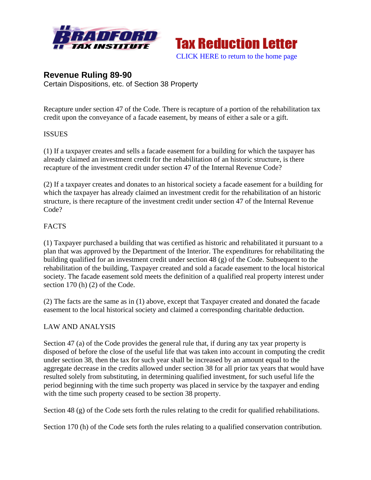



# **Revenue Ruling 89-90**

Certain Dispositions, etc. of Section 38 Property

Recapture under section 47 of the Code. There is recapture of a portion of the rehabilitation tax credit upon the conveyance of a facade easement, by means of either a sale or a gift.

#### **ISSUES**

(1) If a taxpayer creates and sells a facade easement for a building for which the taxpayer has already claimed an investment credit for the rehabilitation of an historic structure, is there recapture of the investment credit under section 47 of the Internal Revenue Code?

(2) If a taxpayer creates and donates to an historical society a facade easement for a building for which the taxpayer has already claimed an investment credit for the rehabilitation of an historic structure, is there recapture of the investment credit under section 47 of the Internal Revenue Code?

### FACTS

(1) Taxpayer purchased a building that was certified as historic and rehabilitated it pursuant to a plan that was approved by the Department of the Interior. The expenditures for rehabilitating the building qualified for an investment credit under section 48 (g) of the Code. Subsequent to the rehabilitation of the building, Taxpayer created and sold a facade easement to the local historical society. The facade easement sold meets the definition of a qualified real property interest under section 170 (h) (2) of the Code.

(2) The facts are the same as in (1) above, except that Taxpayer created and donated the facade easement to the local historical society and claimed a corresponding charitable deduction.

### LAW AND ANALYSIS

Section 47 (a) of the Code provides the general rule that, if during any tax year property is disposed of before the close of the useful life that was taken into account in computing the credit under section 38, then the tax for such year shall be increased by an amount equal to the aggregate decrease in the credits allowed under section 38 for all prior tax years that would have resulted solely from substituting, in determining qualified investment, for such useful life the period beginning with the time such property was placed in service by the taxpayer and ending with the time such property ceased to be section 38 property.

Section 48 (g) of the Code sets forth the rules relating to the credit for qualified rehabilitations.

Section 170 (h) of the Code sets forth the rules relating to a qualified conservation contribution.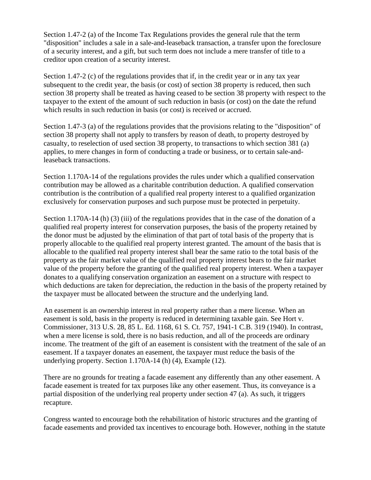Section 1.47-2 (a) of the Income Tax Regulations provides the general rule that the term "disposition" includes a sale in a sale-and-leaseback transaction, a transfer upon the foreclosure of a security interest, and a gift, but such term does not include a mere transfer of title to a creditor upon creation of a security interest.

Section 1.47-2 (c) of the regulations provides that if, in the credit year or in any tax year subsequent to the credit year, the basis (or cost) of section 38 property is reduced, then such section 38 property shall be treated as having ceased to be section 38 property with respect to the taxpayer to the extent of the amount of such reduction in basis (or cost) on the date the refund which results in such reduction in basis (or cost) is received or accrued.

Section 1.47-3 (a) of the regulations provides that the provisions relating to the "disposition" of section 38 property shall not apply to transfers by reason of death, to property destroyed by casualty, to reselection of used section 38 property, to transactions to which section 381 (a) applies, to mere changes in form of conducting a trade or business, or to certain sale-andleaseback transactions.

Section 1.170A-14 of the regulations provides the rules under which a qualified conservation contribution may be allowed as a charitable contribution deduction. A qualified conservation contribution is the contribution of a qualified real property interest to a qualified organization exclusively for conservation purposes and such purpose must be protected in perpetuity.

Section 1.170A-14 (h) (3) (iii) of the regulations provides that in the case of the donation of a qualified real property interest for conservation purposes, the basis of the property retained by the donor must be adjusted by the elimination of that part of total basis of the property that is properly allocable to the qualified real property interest granted. The amount of the basis that is allocable to the qualified real property interest shall bear the same ratio to the total basis of the property as the fair market value of the qualified real property interest bears to the fair market value of the property before the granting of the qualified real property interest. When a taxpayer donates to a qualifying conservation organization an easement on a structure with respect to which deductions are taken for depreciation, the reduction in the basis of the property retained by the taxpayer must be allocated between the structure and the underlying land.

An easement is an ownership interest in real property rather than a mere license. When an easement is sold, basis in the property is reduced in determining taxable gain. See Hort v. Commissioner, 313 U.S. 28, 85 L. Ed. 1168, 61 S. Ct. 757, 1941-1 C.B. 319 (1940). In contrast, when a mere license is sold, there is no basis reduction, and all of the proceeds are ordinary income. The treatment of the gift of an easement is consistent with the treatment of the sale of an easement. If a taxpayer donates an easement, the taxpayer must reduce the basis of the underlying property. Section 1.170A-14 (h) (4), Example (12).

There are no grounds for treating a facade easement any differently than any other easement. A facade easement is treated for tax purposes like any other easement. Thus, its conveyance is a partial disposition of the underlying real property under section 47 (a). As such, it triggers recapture.

Congress wanted to encourage both the rehabilitation of historic structures and the granting of facade easements and provided tax incentives to encourage both. However, nothing in the statute